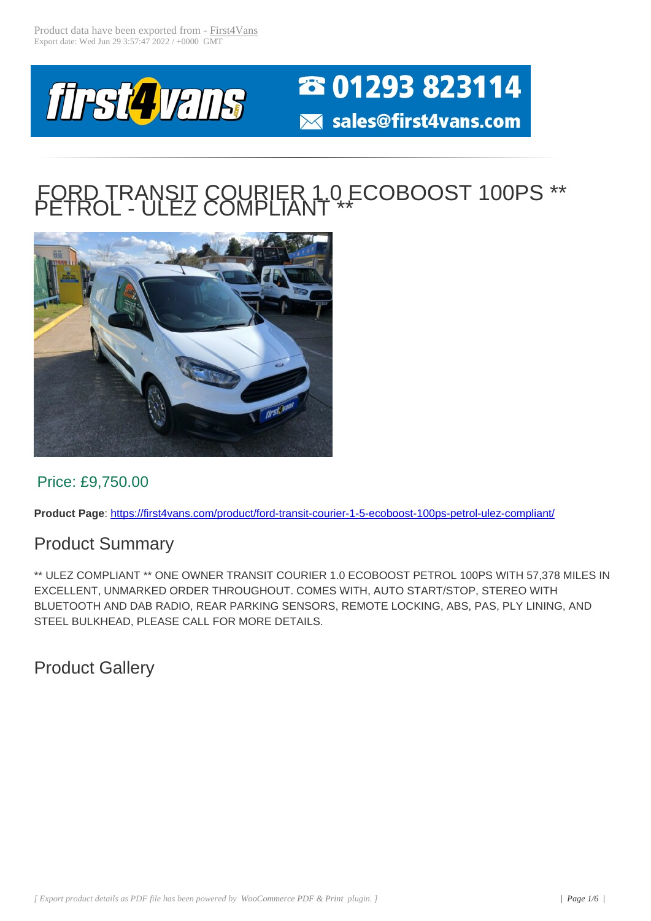

**<u>★ sales@first4vans.com</u>** 

26 01293 823114

## FORD TRANSIT COURIER 1.0 ECOBOOST 100PS \*\*<br>PETROL - ULEZ COMPLIANT \*\*



## Price: £9,750.00

**Product Page**: https://first4vans.com/product/ford-transit-courier-1-5-ecoboost-100ps-petrol-ulez-compliant/

## Product Summary

\*\* ULEZ COMP[LIANT \\*\\* ONE OWNER TRANSIT COURIER 1.0 ECOBOOST PETROL 100PS WITH 57,378](https://first4vans.com/product/ford-transit-courier-1-5-ecoboost-100ps-petrol-ulez-compliant/) MILES IN EXCELLENT, UNMARKED ORDER THROUGHOUT. COMES WITH, AUTO START/STOP, STEREO WITH BLUETOOTH AND DAB RADIO, REAR PARKING SENSORS, REMOTE LOCKING, ABS, PAS, PLY LINING, AND STEEL BULKHEAD, PLEASE CALL FOR MORE DETAILS.

Product Gallery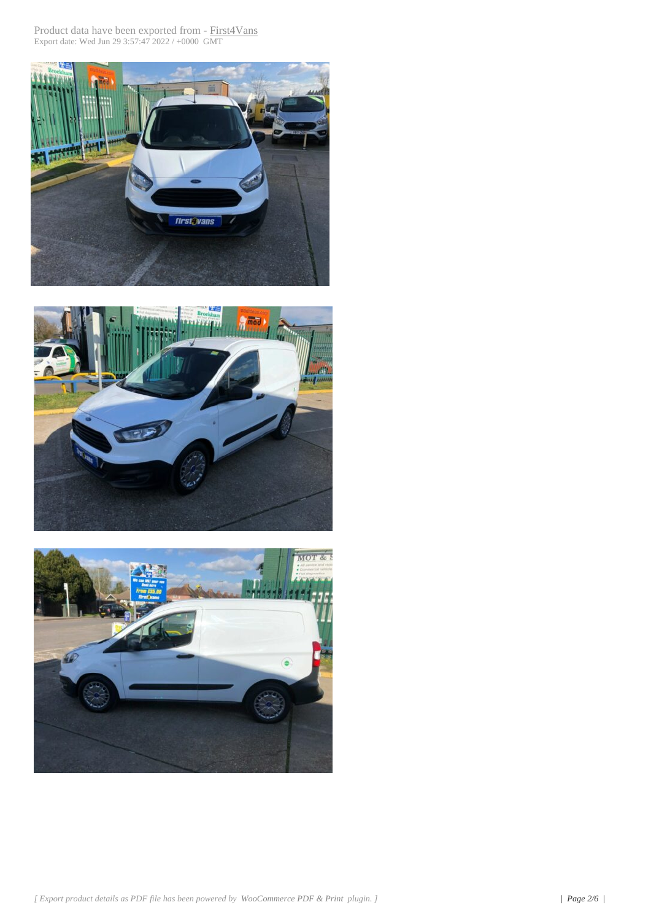



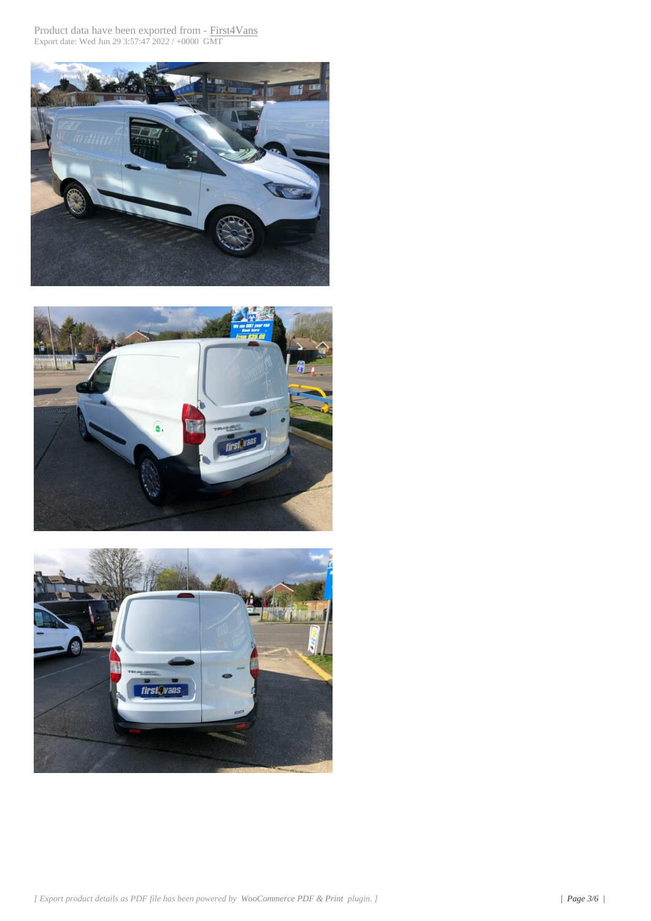



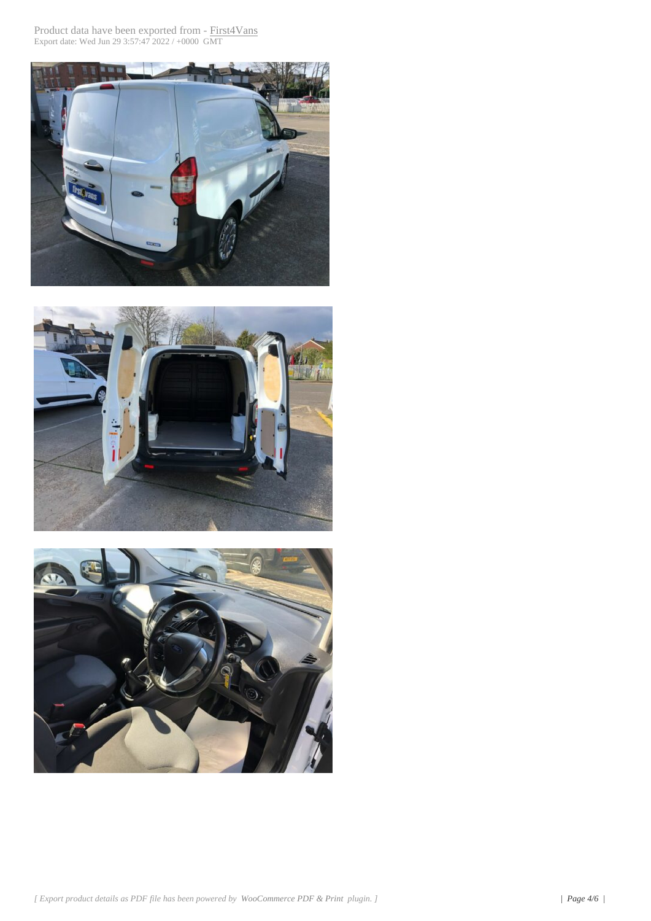



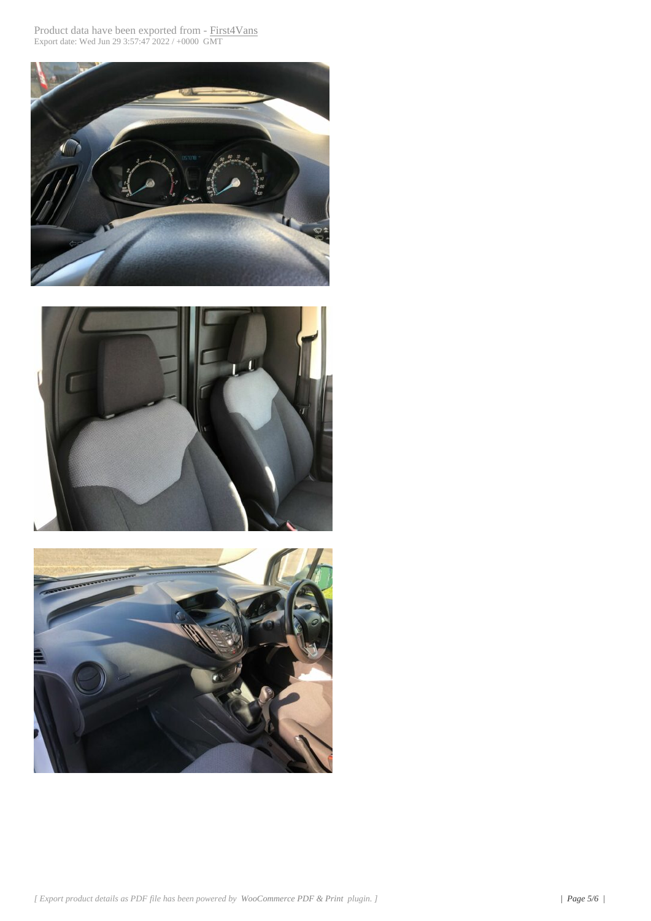